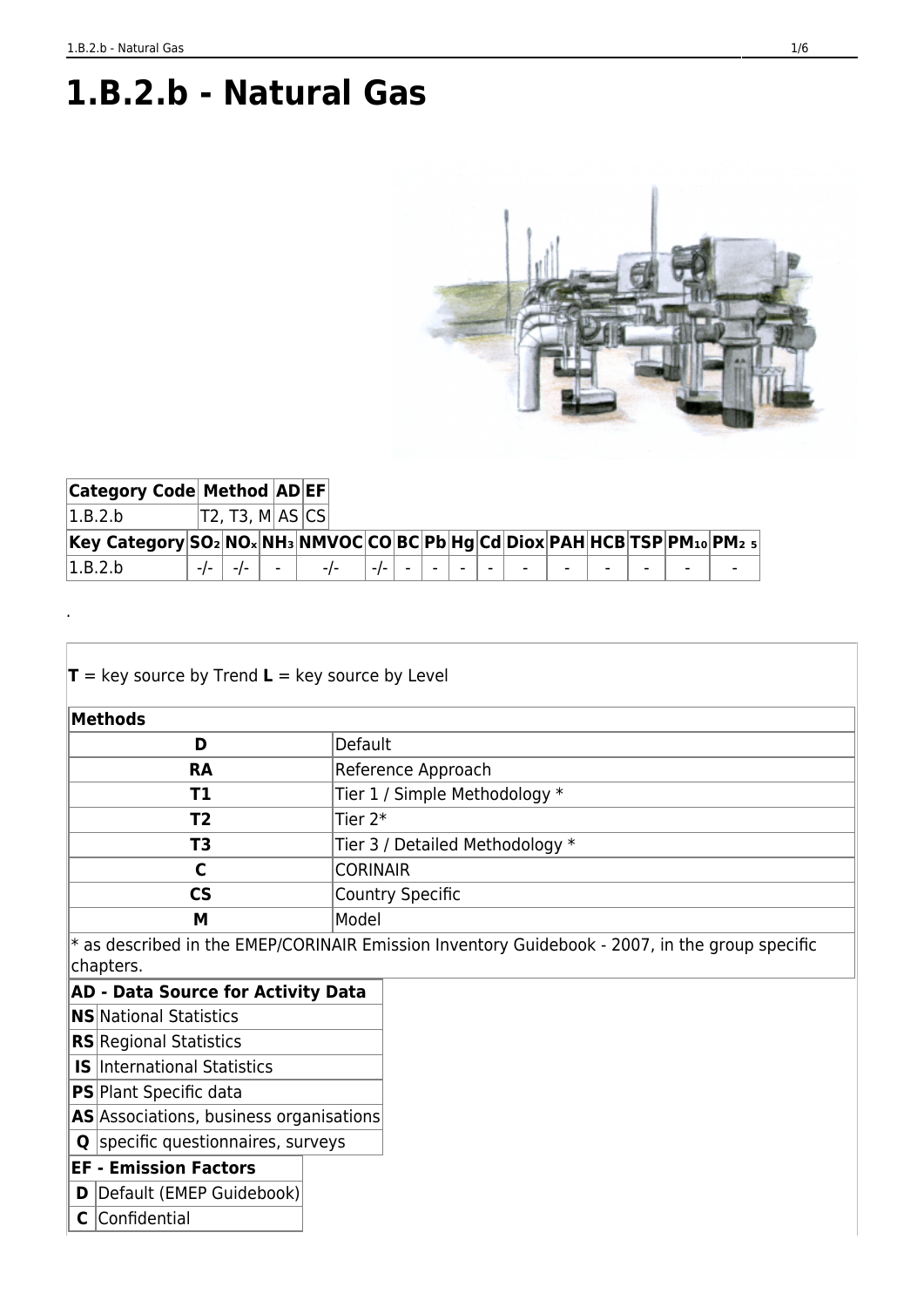.

# **1.B.2.b - Natural Gas**



| <b>Category Code Method ADEF</b>                                          |                 |                                                                     |  |  |  |  |  |  |
|---------------------------------------------------------------------------|-----------------|---------------------------------------------------------------------|--|--|--|--|--|--|
| 1.B.2.b                                                                   | T2, T3, M AS CS |                                                                     |  |  |  |  |  |  |
| Key Category SO2 NOx NH3 NMVOC CO BC Pb Hg Cd Diox PAH HCB TSP PM10 PM2 5 |                 |                                                                     |  |  |  |  |  |  |
| 1.B.2.b                                                                   |                 | $-1$ - $-1$ - $-1$ - $-1$ - $-1$ - $-1$ - $-1$ - $-1$ - $-1$ - $-1$ |  |  |  |  |  |  |

| $T = \text{key source by Trend } L = \text{key source by Level}$ |                                                                                                  |
|------------------------------------------------------------------|--------------------------------------------------------------------------------------------------|
| Methods                                                          |                                                                                                  |
| D                                                                | Default                                                                                          |
| <b>RA</b>                                                        | Reference Approach                                                                               |
| T1                                                               | Tier 1 / Simple Methodology *                                                                    |
| T <sub>2</sub>                                                   | Tier $2^*$                                                                                       |
| T3                                                               | Tier 3 / Detailed Methodology *                                                                  |
| C                                                                | <b>CORINAIR</b>                                                                                  |
| <b>CS</b>                                                        | <b>Country Specific</b>                                                                          |
| М                                                                | Model                                                                                            |
| chapters.                                                        | $*$ as described in the EMEP/CORINAIR Emission Inventory Guidebook - 2007, in the group specific |
| <b>AD - Data Source for Activity Data</b>                        |                                                                                                  |
| <b>NS</b> National Statistics                                    |                                                                                                  |
| <b>RS</b> Regional Statistics                                    |                                                                                                  |
| <b>IS</b> International Statistics                               |                                                                                                  |

- **PS** Plant Specific data
- **AS** Associations, business organisations
- **Q** specific questionnaires, surveys

#### **EF - Emission Factors**

- **D** Default (EMEP Guidebook)
- **C** Confidential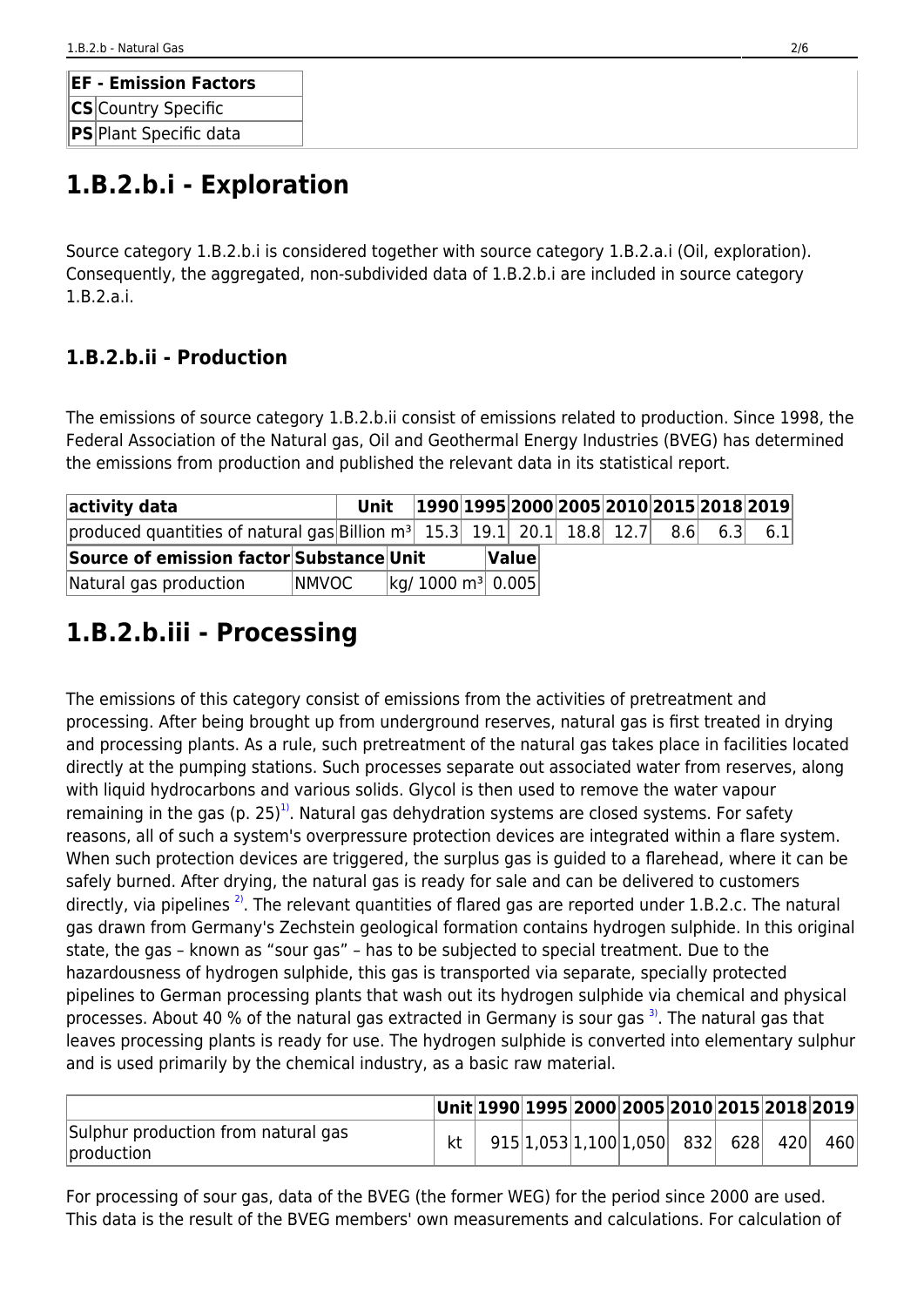| <b>EF - Emission Factors</b> |  |  |  |  |  |  |  |  |  |
|------------------------------|--|--|--|--|--|--|--|--|--|
| <b>CS</b> Country Specific   |  |  |  |  |  |  |  |  |  |
| PS Plant Specific data       |  |  |  |  |  |  |  |  |  |

# **1.B.2.b.i - Exploration**

Source category 1.B.2.b.i is considered together with source category 1.B.2.a.i (Oil, exploration). Consequently, the aggregated, non-subdivided data of 1.B.2.b.i are included in source category 1.B.2.a.i.

### **1.B.2.b.ii - Production**

The emissions of source category 1.B.2.b.ii consist of emissions related to production. Since 1998, the Federal Association of the Natural gas, Oil and Geothermal Energy Industries (BVEG) has determined the emissions from production and published the relevant data in its statistical report.

| activity data                                                                 | Unit   |                                  |  |              | $ 1990 1995 2000 2005 2010 2015 2018 2019 $ |  |     |     |
|-------------------------------------------------------------------------------|--------|----------------------------------|--|--------------|---------------------------------------------|--|-----|-----|
| produced quantities of natural gas Billion $m^3$ 15.3 19.1 20.1 18.8 12.7 8.6 |        |                                  |  |              |                                             |  | 6.3 | 6.1 |
| Source of emission factor Substance Unit                                      |        |                                  |  | $\sf{Value}$ |                                             |  |     |     |
| Natural gas production                                                        | INMVOC | $\log$ 1000 m <sup>3</sup> 0.005 |  |              |                                             |  |     |     |

# **1.B.2.b.iii - Processing**

<span id="page-1-0"></span>The emissions of this category consist of emissions from the activities of pretreatment and processing. After being brought up from underground reserves, natural gas is first treated in drying and processing plants. As a rule, such pretreatment of the natural gas takes place in facilities located directly at the pumping stations. Such processes separate out associated water from reserves, along with liquid hydrocarbons and various solids. Glycol is then used to remove the water vapour remaining in the gas (p. 25)<sup>1</sup>. Natural gas dehydration systems are closed systems. For safety reasons, all of such a system's overpressure protection devices are integrated within a flare system. When such protection devices are triggered, the surplus gas is guided to a flarehead, where it can be safely burned. After drying, the natural gas is ready for sale and can be delivered to customers directly, via pipelines  $^{2}$ . The relevant quantities of flared gas are reported under 1.B.2.c. The natural gas drawn from Germany's Zechstein geological formation contains hydrogen sulphide. In this original state, the gas – known as "sour gas" – has to be subjected to special treatment. Due to the hazardousness of hydrogen sulphide, this gas is transported via separate, specially protected pipelines to German processing plants that wash out its hydrogen sulphide via chemical and physical processes. About 40 % of the natural gas extracted in Germany is sour gas  $3$ . The natural gas that leaves processing plants is ready for use. The hydrogen sulphide is converted into elementary sulphur and is used primarily by the chemical industry, as a basic raw material.

<span id="page-1-2"></span><span id="page-1-1"></span>

|                                                   |  | $ Unit 1990 1995 2000 2005 2010 2015 2018 2019 $ |  |  |     |     |
|---------------------------------------------------|--|--------------------------------------------------|--|--|-----|-----|
| Sulphur production from natural gas<br>production |  | $915 1,053 1,100 1,050$ 832 628                  |  |  | 420 | 460 |

For processing of sour gas, data of the BVEG (the former WEG) for the period since 2000 are used. This data is the result of the BVEG members' own measurements and calculations. For calculation of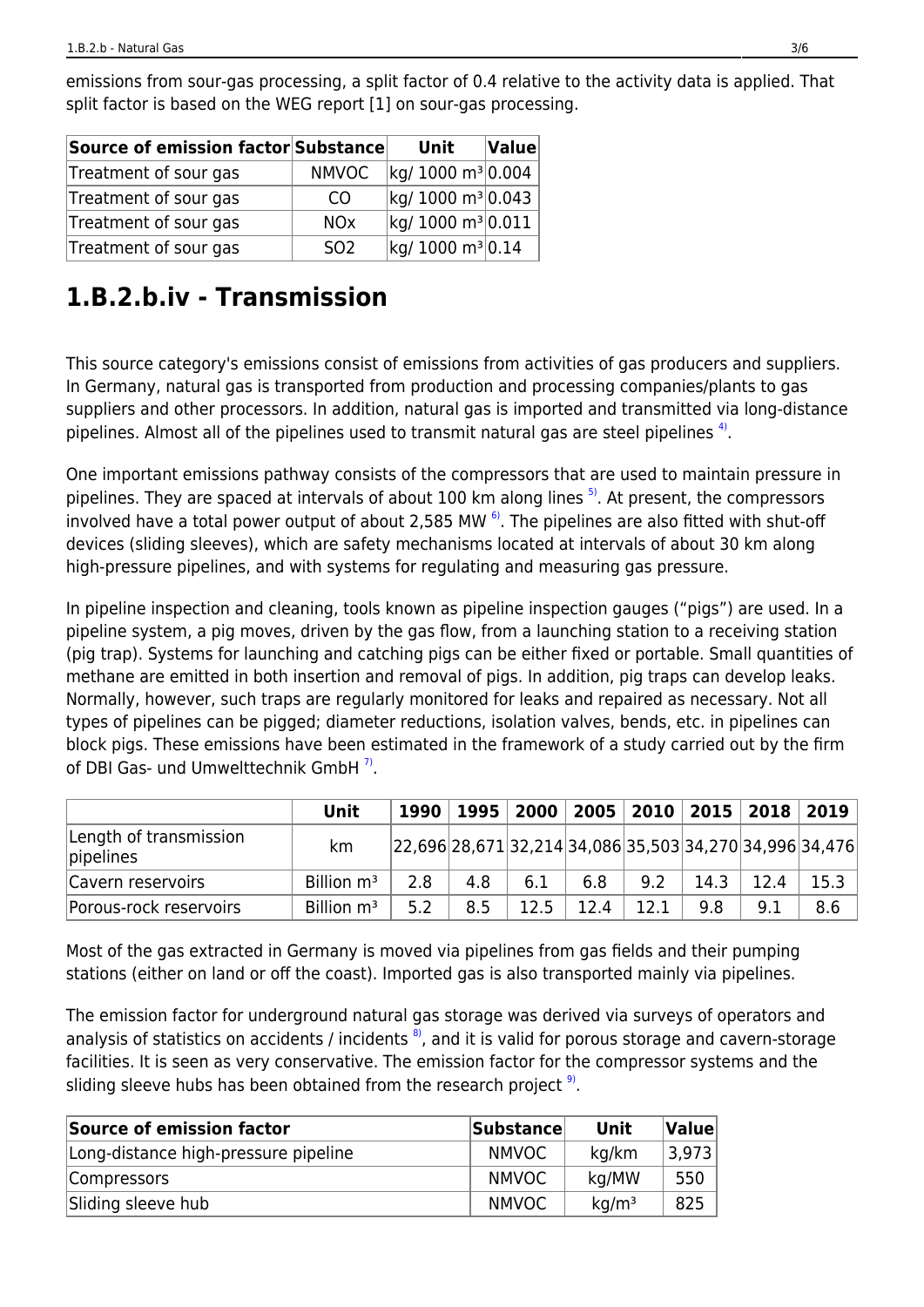| Source of emission factor Substance |                       | Unit                          | $\left $ Value $\right $ |
|-------------------------------------|-----------------------|-------------------------------|--------------------------|
| Treatment of sour gas               | <b>NMVOC</b>          | kg/ 1000 m <sup>3</sup> 0.004 |                          |
| Treatment of sour gas               | CO                    | kg/ 1000 m <sup>3</sup> 0.043 |                          |
| Treatment of sour gas               | <b>NO<sub>x</sub></b> | kg/ 1000 m <sup>3</sup> 0.011 |                          |
| Treatment of sour gas               | S <sub>02</sub>       | kg/ 1000 m <sup>3</sup> 0.14  |                          |

emissions from sour-gas processing, a split factor of 0.4 relative to the activity data is applied. That split factor is based on the WEG report [1] on sour-gas processing.

# **1.B.2.b.iv - Transmission**

This source category's emissions consist of emissions from activities of gas producers and suppliers. In Germany, natural gas is transported from production and processing companies/plants to gas suppliers and other processors. In addition, natural gas is imported and transmitted via long-distance pipelines. Almost all of the pipelines used to transmit natural gas are steel pipelines  $4$ .

<span id="page-2-3"></span><span id="page-2-2"></span><span id="page-2-0"></span>One important emissions pathway consists of the compressors that are used to maintain pressure in pipelines. They are spaced at intervals of about 100 km along lines <sup>[5\)](#page-5-3)</sup>. At present, the compressors involved have a total power output of about 2,585 MW  $^{6}$ . The pipelines are also fitted with shut-off devices (sliding sleeves), which are safety mechanisms located at intervals of about 30 km along high-pressure pipelines, and with systems for regulating and measuring gas pressure.

In pipeline inspection and cleaning, tools known as pipeline inspection gauges ("pigs") are used. In a pipeline system, a pig moves, driven by the gas flow, from a launching station to a receiving station (pig trap). Systems for launching and catching pigs can be either fixed or portable. Small quantities of methane are emitted in both insertion and removal of pigs. In addition, pig traps can develop leaks. Normally, however, such traps are regularly monitored for leaks and repaired as necessary. Not all types of pipelines can be pigged; diameter reductions, isolation valves, bends, etc. in pipelines can block pigs. These emissions have been estimated in the framework of a study carried out by the firm of DBI Gas- und Umwelttechnik GmbH<sup>7</sup>.

<span id="page-2-4"></span>

|                                     | Unit                   |     |     |      |      |      |      |      | 1990   1995   2000   2005   2010   2015   2018   2019       |
|-------------------------------------|------------------------|-----|-----|------|------|------|------|------|-------------------------------------------------------------|
| Length of transmission<br>pipelines | km                     |     |     |      |      |      |      |      | $ 22,696 28,671 32,214 34,086 35,503 34,270 34,996 34,476 $ |
| Cavern reservoirs                   | Billion m <sup>3</sup> | 2.8 | 4.8 | 6.1  | 6.8  | 9.2  | 14.3 | 12.4 | 15.3                                                        |
| Porous-rock reservoirs              | Billion m <sup>3</sup> | 5.2 | 8.5 | 12.5 | 12.4 | 12.1 | 9.8  | 9.1  | 8.6                                                         |

Most of the gas extracted in Germany is moved via pipelines from gas fields and their pumping stations (either on land or off the coast). Imported gas is also transported mainly via pipelines.

<span id="page-2-5"></span>The emission factor for underground natural gas storage was derived via surveys of operators and analysis of statistics on accidents / incidents  $\frac{8}{2}$ , and it is valid for porous storage and cavern-storage facilities. It is seen as very conservative. The emission factor for the compressor systems and the sliding sleeve hubs has been obtained from the research project <sup>9</sup>.

<span id="page-2-1"></span>

| Source of emission factor            | <b>Substance</b> | Unit              | Value |
|--------------------------------------|------------------|-------------------|-------|
| Long-distance high-pressure pipeline | <b>NMVOC</b>     | kg/km             | 3,973 |
| Compressors                          | <b>NMVOC</b>     | kg/MW             | 550   |
| Sliding sleeve hub                   | <b>NMVOC</b>     | kq/m <sup>3</sup> | 825   |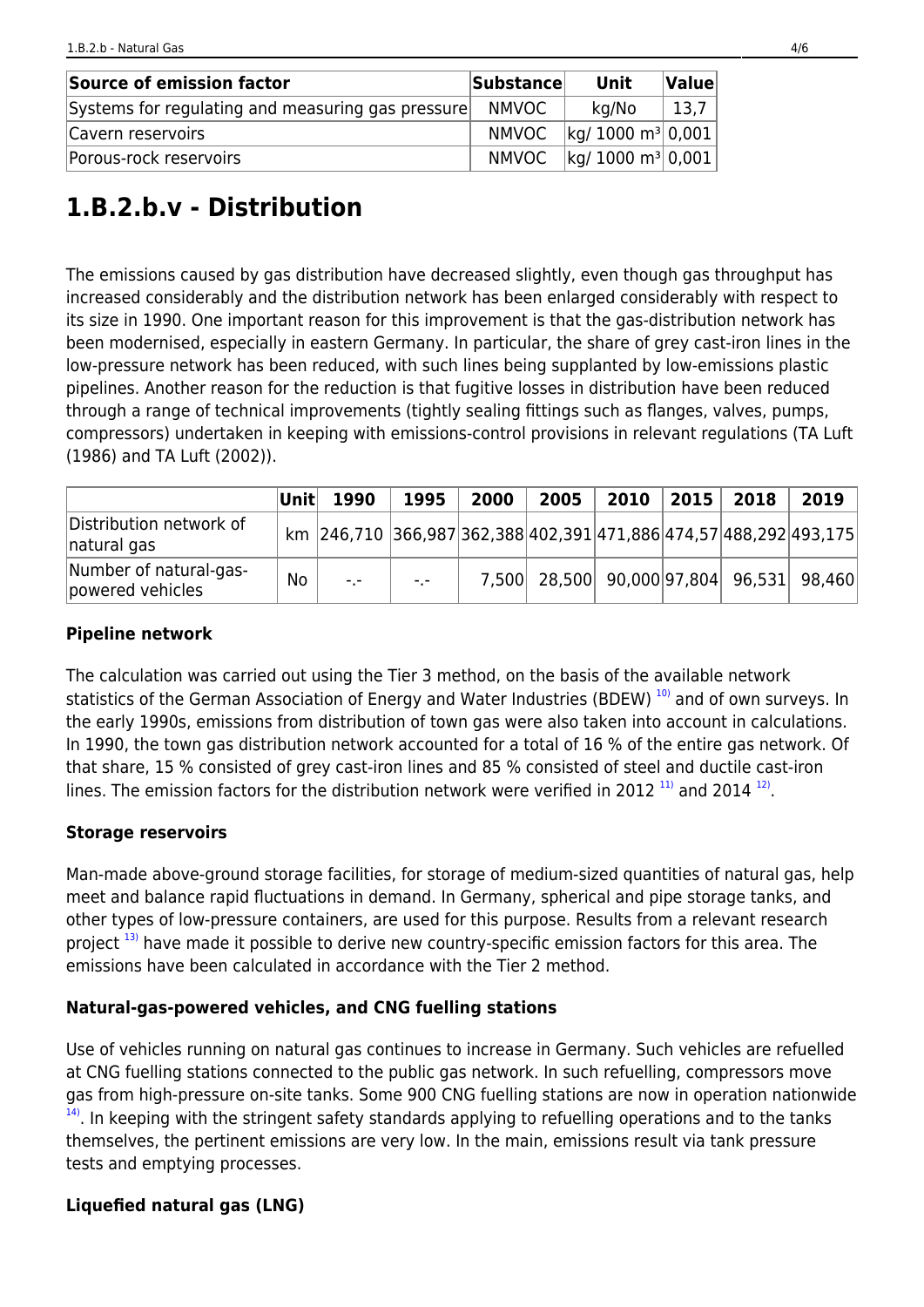| Source of emission factor                         | <b>Substancel</b> | Unit                             | Value |
|---------------------------------------------------|-------------------|----------------------------------|-------|
| Systems for regulating and measuring gas pressure | <b>NMVOC</b>      | kg/No                            | 13,7  |
| Cavern reservoirs                                 | <b>NMVOC</b>      | $\log$ 1000 m <sup>3</sup> 0,001 |       |
| Porous-rock reservoirs                            | NMVOC             | $\log$ 1000 m <sup>3</sup> 0,001 |       |

# **1.B.2.b.v - Distribution**

The emissions caused by gas distribution have decreased slightly, even though gas throughput has increased considerably and the distribution network has been enlarged considerably with respect to its size in 1990. One important reason for this improvement is that the gas-distribution network has been modernised, especially in eastern Germany. In particular, the share of grey cast-iron lines in the low-pressure network has been reduced, with such lines being supplanted by low-emissions plastic pipelines. Another reason for the reduction is that fugitive losses in distribution have been reduced through a range of technical improvements (tightly sealing fittings such as flanges, valves, pumps, compressors) undertaken in keeping with emissions-control provisions in relevant regulations (TA Luft (1986) and TA Luft (2002)).

|                                            | ∣Unit∣ | 1990                                                              | 1995 | 2000 | 2005 | 2010 | 2015 | 2018 | 2019                                     |
|--------------------------------------------|--------|-------------------------------------------------------------------|------|------|------|------|------|------|------------------------------------------|
| Distribution network of<br>natural gas     |        | km 246,710 366,987 362,388 402,391 471,886 474,57 488,292 493,175 |      |      |      |      |      |      |                                          |
| Number of natural-gas-<br>powered vehicles | No     | $-1$                                                              | $-1$ |      |      |      |      |      | 7,500 28,500 90,000 97,804 96,531 98,460 |

#### **Pipeline network**

<span id="page-3-2"></span>The calculation was carried out using the Tier 3 method, on the basis of the available network statistics of the German Association of Energy and Water Industries (BDEW)<sup>[10\)](#page-5-7)</sup> and of own surveys. In the early 1990s, emissions from distribution of town gas were also taken into account in calculations. In 1990, the town gas distribution network accounted for a total of 16 % of the entire gas network. Of that share, 15 % consisted of grey cast-iron lines and 85 % consisted of steel and ductile cast-iron lines. The emission factors for the distribution network were verified in 2012  $^{11)}$  $^{11)}$  $^{11)}$  and 2014  $^{12}$ .

#### <span id="page-3-3"></span>**Storage reservoirs**

Man-made above-ground storage facilities, for storage of medium-sized quantities of natural gas, help meet and balance rapid fluctuations in demand. In Germany, spherical and pipe storage tanks, and other types of low-pressure containers, are used for this purpose. Results from a relevant research project<sup>[13\)](#page-5-6)</sup> have made it possible to derive new country-specific emission factors for this area. The emissions have been calculated in accordance with the Tier 2 method.

#### <span id="page-3-0"></span>**Natural-gas-powered vehicles, and CNG fuelling stations**

<span id="page-3-1"></span>Use of vehicles running on natural gas continues to increase in Germany. Such vehicles are refuelled at CNG fuelling stations connected to the public gas network. In such refuelling, compressors move gas from high-pressure on-site tanks. Some 900 CNG fuelling stations are now in operation nationwide  $14$ ). In keeping with the stringent safety standards applying to refuelling operations and to the tanks themselves, the pertinent emissions are very low. In the main, emissions result via tank pressure tests and emptying processes.

#### **Liquefied natural gas (LNG)**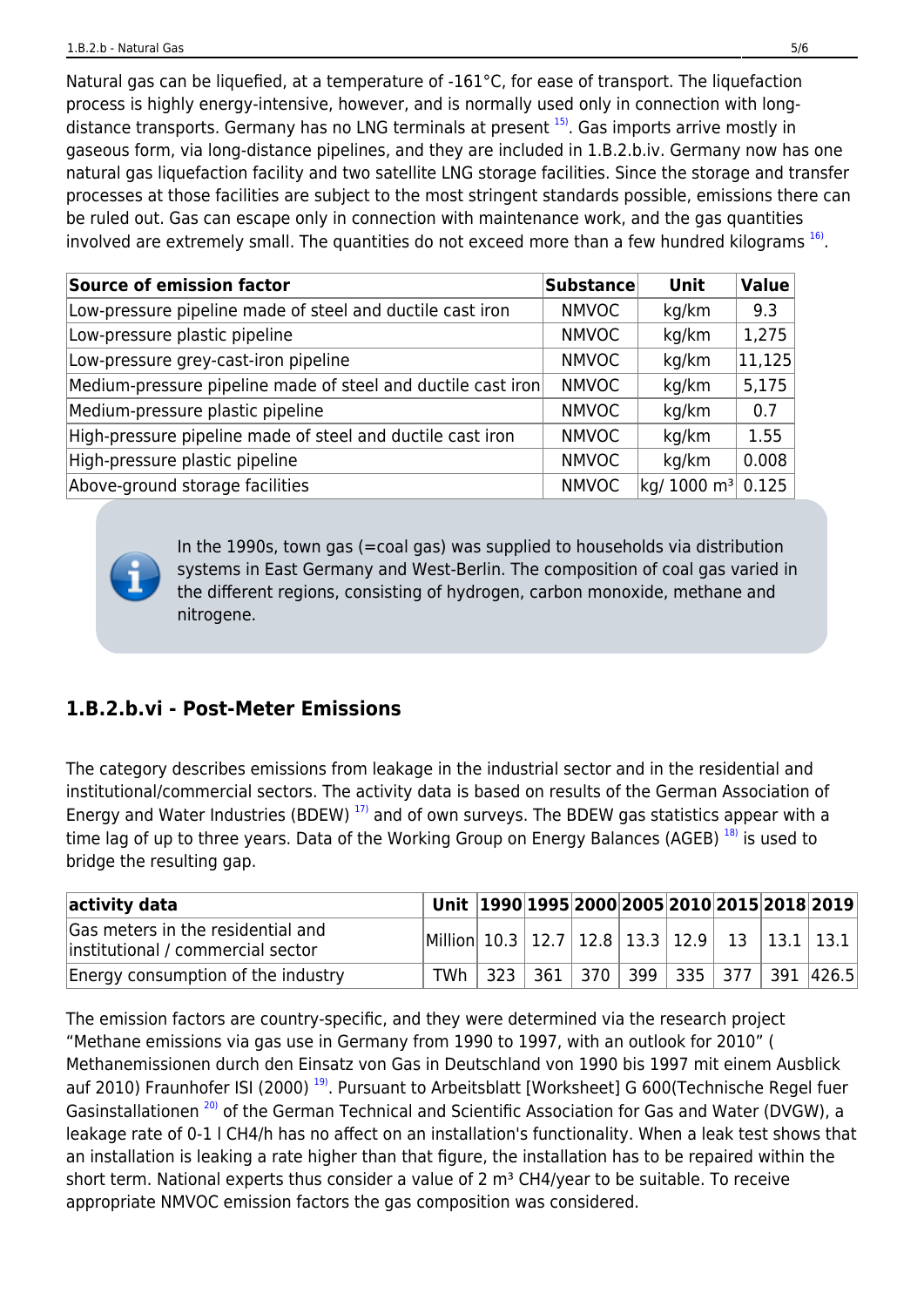<span id="page-4-0"></span>Natural gas can be liquefied, at a temperature of -161°C, for ease of transport. The liquefaction process is highly energy-intensive, however, and is normally used only in connection with long-distance transports. Germany has no LNG terminals at present <sup>[15\)](#page-5-6)</sup>. Gas imports arrive mostly in gaseous form, via long-distance pipelines, and they are included in 1.B.2.b.iv. Germany now has one natural gas liquefaction facility and two satellite LNG storage facilities. Since the storage and transfer processes at those facilities are subject to the most stringent standards possible, emissions there can be ruled out. Gas can escape only in connection with maintenance work, and the gas quantities involved are extremely small. The quantities do not exceed more than a few hundred kilograms  $^{16}$ .

<span id="page-4-1"></span>

| <b>Source of emission factor</b>                             | <b>Substance</b> | Unit                                                                                   | Value                |
|--------------------------------------------------------------|------------------|----------------------------------------------------------------------------------------|----------------------|
| Low-pressure pipeline made of steel and ductile cast iron    | <b>NMVOC</b>     | kg/km                                                                                  | 9.3                  |
| Low-pressure plastic pipeline                                | <b>NMVOC</b>     | kg/km                                                                                  | 1,275                |
| Low-pressure grey-cast-iron pipeline                         | <b>NMVOC</b>     | kg/km                                                                                  | $\vert 11.125 \vert$ |
| Medium-pressure pipeline made of steel and ductile cast iron | <b>NMVOC</b>     | kg/km                                                                                  | 5,175                |
| Medium-pressure plastic pipeline                             | <b>NMVOC</b>     | kg/km                                                                                  | 0.7                  |
| High-pressure pipeline made of steel and ductile cast iron   | <b>NMVOC</b>     | kg/km                                                                                  | 1.55                 |
| High-pressure plastic pipeline                               | <b>NMVOC</b>     | kg/km                                                                                  | 0.008                |
| Above-ground storage facilities                              | <b>NMVOC</b>     | $\left\vert \mathsf{kq}\mathsf{/1000~m^3}\right\vert$ 0.125 $\left\vert \right\rangle$ |                      |

In the 1990s, town gas (=coal gas) was supplied to households via distribution systems in East Germany and West-Berlin. The composition of coal gas varied in the different regions, consisting of hydrogen, carbon monoxide, methane and nitrogene.

### **1.B.2.b.vi - Post-Meter Emissions**

<span id="page-4-2"></span>The category describes emissions from leakage in the industrial sector and in the residential and institutional/commercial sectors. The activity data is based on results of the German Association of Energy and Water Industries (BDEW)<sup>[17\)](#page-5-7)</sup> and of own surveys. The BDEW gas statistics appear with a time lag of up to three years. Data of the Working Group on Energy Balances (AGEB) [18\)](#page-5-10) is used to bridge the resulting gap.

<span id="page-4-3"></span>

| activity data                                                          |                                                              |  |  |  | Unit 1990 1995 2000 2005 2010 2015 2018 2019        |
|------------------------------------------------------------------------|--------------------------------------------------------------|--|--|--|-----------------------------------------------------|
| Gas meters in the residential and<br>institutional / commercial sector | Million  10.3   12.7   12.8   13.3   12.9   13   13.1   13.1 |  |  |  |                                                     |
| Energy consumption of the industry                                     |                                                              |  |  |  | TWh   323   361   370   399   335   377   391 426.5 |

<span id="page-4-5"></span><span id="page-4-4"></span>The emission factors are country-specific, and they were determined via the research project "Methane emissions via gas use in Germany from 1990 to 1997, with an outlook for 2010" ( Methanemissionen durch den Einsatz von Gas in Deutschland von 1990 bis 1997 mit einem Ausblick auf 2010) Fraunhofer ISI (2000)<sup>[19\)](#page-5-11)</sup>. Pursuant to Arbeitsblatt [Worksheet] G 600(Technische Regel fuer Gasinstallationen<sup>[20\)](#page-5-12)</sup> of the German Technical and Scientific Association for Gas and Water (DVGW), a leakage rate of 0-1 l CH4/h has no affect on an installation's functionality. When a leak test shows that an installation is leaking a rate higher than that figure, the installation has to be repaired within the short term. National experts thus consider a value of 2  $m<sup>3</sup>$  CH4/year to be suitable. To receive appropriate NMVOC emission factors the gas composition was considered.